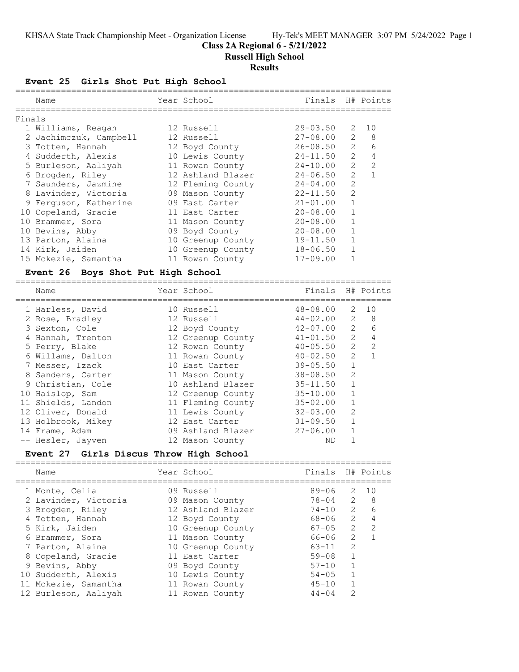## **Class 2A Regional 6 - 5/21/2022**

**Russell High School**

### **Results**

### **Event 25 Girls Shot Put High School**

|        | Name                   | Year School       | Finals H# Points |                |                |
|--------|------------------------|-------------------|------------------|----------------|----------------|
| Finals |                        |                   |                  |                |                |
|        | 1 Williams, Reagan     | 12 Russell        | $29 - 03.50$     | 2              | 10             |
|        | 2 Jachimczuk, Campbell | 12 Russell        | $27 - 08.00$     | $\overline{2}$ | 8              |
|        | 3 Totten, Hannah       | 12 Boyd County    | 26-08.50         | $\overline{2}$ | 6              |
|        | 4 Sudderth, Alexis     | 10 Lewis County   | 24-11.50         | $\overline{2}$ | $\overline{4}$ |
|        | 5 Burleson, Aaliyah    | 11 Rowan County   | 24-10.00         | $\overline{2}$ | $\mathcal{L}$  |
|        | 6 Brogden, Riley       | 12 Ashland Blazer | $24 - 06.50$     | 2              | $\overline{1}$ |
|        | 7 Saunders, Jazmine    | 12 Fleming County | 24-04.00         | 2              |                |
|        | 8 Lavinder, Victoria   | 09 Mason County   | 22-11.50         | 2              |                |
|        | 9 Ferquson, Katherine  | 09 East Carter    | $21 - 01.00$     |                |                |
|        | 10 Copeland, Gracie    | 11 East Carter    | $20 - 08.00$     | 1              |                |
|        | 10 Brammer, Sora       | 11 Mason County   | $20 - 08.00$     |                |                |
|        | 10 Bevins, Abby        | 09 Boyd County    | $20 - 08.00$     |                |                |
|        | 13 Parton, Alaina      | 10 Greenup County | $19 - 11.50$     |                |                |
|        | 14 Kirk, Jaiden        | 10 Greenup County | $18 - 06.50$     |                |                |
|        | 15 Mckezie, Samantha   | 11 Rowan County   | $17 - 09.00$     |                |                |
|        |                        |                   |                  |                |                |

### **Event 26 Boys Shot Put High School**

| Name               | Year School       | Finals H# Points |                |                |
|--------------------|-------------------|------------------|----------------|----------------|
| 1 Harless, David   | 10 Russell        | $48 - 08.00$     | 2              | 10             |
| 2 Rose, Bradley    | 12 Russell        | 44-02.00         | 2              | 8              |
| 3 Sexton, Cole     | 12 Boyd County    | $42 - 07.00$     | 2              | 6              |
| 4 Hannah, Trenton  | 12 Greenup County | $41 - 01.50$     | 2              | 4              |
| 5 Perry, Blake     | 12 Rowan County   | $40 - 05.50$     | 2              | $\overline{2}$ |
| 6 Willams, Dalton  | 11 Rowan County   | $40 - 02.50$     | $\mathcal{L}$  |                |
| 7 Messer, Izack    | 10 East Carter    | $39 - 05.50$     |                |                |
| 8 Sanders, Carter  | 11 Mason County   | $38 - 08.50$     | $\overline{2}$ |                |
| 9 Christian, Cole  | 10 Ashland Blazer | $35 - 11.50$     |                |                |
| 10 Haislop, Sam    | 12 Greenup County | $35 - 10.00$     |                |                |
| 11 Shields, Landon | 11 Fleming County | $35 - 02.00$     |                |                |
| 12 Oliver, Donald  | 11 Lewis County   | $32 - 03.00$     | $\mathcal{D}$  |                |
| 13 Holbrook, Mikey | 12 East Carter    | $31 - 09.50$     |                |                |
| 14 Frame, Adam     | 09 Ashland Blazer | $27 - 06.00$     |                |                |
| -- Hesler, Jayven  | 12 Mason County   | ND               |                |                |
|                    |                   |                  |                |                |

### **Event 27 Girls Discus Throw High School**

| Name                 | Year School       | Finals    |               | H# Points     |
|----------------------|-------------------|-----------|---------------|---------------|
| 1 Monte, Celia       | 09 Russell        | $89 - 06$ | 2             | 10            |
| 2 Lavinder, Victoria | 09 Mason County   | 78-04     | 2             | 8             |
| 3 Brogden, Riley     | 12 Ashland Blazer | $74 - 10$ | $\mathcal{P}$ | 6             |
| 4 Totten, Hannah     | 12 Boyd County    | 68-06     | $\mathcal{P}$ | 4             |
| 5 Kirk, Jaiden       | 10 Greenup County | 67-05     | $\mathcal{L}$ | $\mathcal{L}$ |
| 6 Brammer, Sora      | 11 Mason County   | 66-06     | $\mathcal{P}$ |               |
| 7 Parton, Alaina     | 10 Greenup County | $63 - 11$ | $\mathcal{P}$ |               |
| 8 Copeland, Gracie   | 11 East Carter    | $59 - 08$ |               |               |
| 9 Bevins, Abby       | 09 Boyd County    | $57 - 10$ |               |               |
| 10 Sudderth, Alexis  | 10 Lewis County   | $54 - 05$ |               |               |
| 11 Mckezie, Samantha | 11 Rowan County   | $45 - 10$ |               |               |
| 12 Burleson, Aaliyah | 11 Rowan County   | $44 - 04$ | $\mathcal{P}$ |               |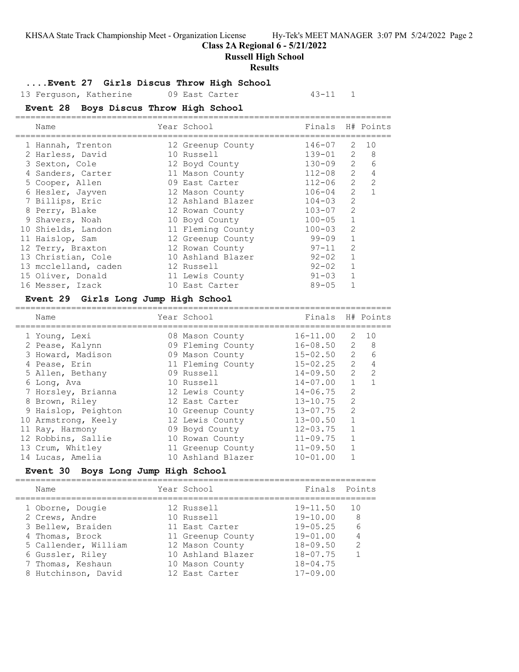#### **Class 2A Regional 6 - 5/21/2022**

**Russell High School**

#### **Results**

#### **....Event 27 Girls Discus Throw High School**

13 Ferguson, Katherine 19 East Carter 13-11 1

### **Event 28 Boys Discus Throw High School**

| Name                 | Year School       | Finals H# Points |                |               |
|----------------------|-------------------|------------------|----------------|---------------|
| 1 Hannah, Trenton    | 12 Greenup County | $146 - 07$       | 2              | 10            |
| 2 Harless, David     | 10 Russell        | $139 - 01$       | $\mathcal{L}$  | 8             |
| 3 Sexton, Cole       | 12 Boyd County    | $130 - 09$       | $\mathcal{L}$  | 6             |
| 4 Sanders, Carter    | 11 Mason County   | $112 - 08$       | $\mathcal{L}$  | 4             |
| 5 Cooper, Allen      | 09 East Carter    | $112 - 06$       | $\mathcal{L}$  | $\mathcal{D}$ |
| 6 Hesler, Jayven     | 12 Mason County   | $106 - 04$       | $\mathcal{L}$  |               |
| 7 Billips, Eric      | 12 Ashland Blazer | $104 - 03$       | $\mathcal{L}$  |               |
| 8 Perry, Blake       | 12 Rowan County   | $103 - 07$       | $\mathcal{L}$  |               |
| 9 Shavers, Noah      | 10 Boyd County    | $100 - 05$       |                |               |
| 10 Shields, Landon   | 11 Fleming County | $100 - 03$       | $\overline{2}$ |               |
| 11 Haislop, Sam      | 12 Greenup County | 99-09            |                |               |
| 12 Terry, Braxton    | 12 Rowan County   | $97 - 11$        | 2              |               |
| 13 Christian, Cole   | 10 Ashland Blazer | $92 - 02$        |                |               |
| 13 mcclelland, caden | 12 Russell        | $92 - 02$        |                |               |
| 15 Oliver, Donald    | 11 Lewis County   | $91 - 03$        |                |               |
| 16 Messer, Izack     | 10 East Carter    | $89 - 05$        |                |               |
|                      |                   |                  |                |               |

#### **Event 29 Girls Long Jump High School**

| Name                | Year School       | Finals H# Points |               |                |
|---------------------|-------------------|------------------|---------------|----------------|
| 1 Young, Lexi       | 08 Mason County   | $16 - 11.00$     |               | $2 \quad 10$   |
| 2 Pease, Kalynn     | 09 Fleming County | $16 - 08.50$     | $\mathcal{L}$ | 8              |
| 3 Howard, Madison   | 09 Mason County   | $15 - 02.50$     | $\mathcal{L}$ | 6              |
| 4 Pease, Erin       | 11 Fleming County | $15 - 02.25$     | $\mathcal{L}$ | $\overline{4}$ |
| 5 Allen, Bethany    | 09 Russell        | 14-09.50         | $\mathcal{L}$ | $\mathcal{L}$  |
| 6 Long, Ava         | 10 Russell        | $14 - 07.00$     |               |                |
| 7 Horsley, Brianna  | 12 Lewis County   | $14 - 06.75$     | $\mathcal{L}$ |                |
| 8 Brown, Riley      | 12 East Carter    | $13 - 10.75$     | $\mathcal{L}$ |                |
| 9 Haislop, Peighton | 10 Greenup County | $13 - 07.75$     | $\mathcal{L}$ |                |
| 10 Armstrong, Keely | 12 Lewis County   | $13 - 00.50$     | 1             |                |
| 11 Ray, Harmony     | 09 Boyd County    | $12 - 03.75$     |               |                |
| 12 Robbins, Sallie  | 10 Rowan County   | $11 - 09.75$     |               |                |
| 13 Crum, Whitley    | 11 Greenup County | $11 - 09.50$     |               |                |
| 14 Lucas, Amelia    | 10 Ashland Blazer | $10 - 01.00$     |               |                |

==========================================================================

#### **Event 30 Boys Long Jump High School**

======================================================================= Name The Year School Team Points Points ======================================================================= 1 Oborne, Dougie 12 Russell 19-11.50 10 2 Crews, Andre 10 Russell 19-10.00 8 3 Bellew, Braiden 11 East Carter 19-05.25 6 4 Thomas, Brock 11 Greenup County 19-01.00 4 5 Callender, William 12 Mason County 18-09.50 2 6 Gussler, Riley 10 Ashland Blazer 18-07.75 1 7 Thomas, Keshaun 10 Mason County 18-04.75 8 Hutchinson, David 12 East Carter 17-09.00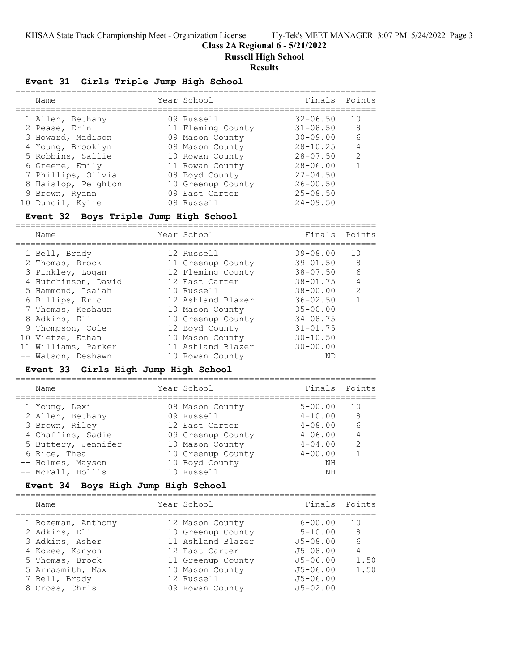# **Class 2A Regional 6 - 5/21/2022**

**Russell High School**

### **Results**

### **Event 31 Girls Triple Jump High School**

|  | Name                | Year School       | Finals Points |               |
|--|---------------------|-------------------|---------------|---------------|
|  | 1 Allen, Bethany    | 09 Russell        | $32 - 06.50$  | 10            |
|  | 2 Pease, Erin       | 11 Fleming County | $31 - 08.50$  | -8            |
|  | 3 Howard, Madison   | 09 Mason County   | $30 - 09.00$  | 6             |
|  | 4 Young, Brooklyn   | 09 Mason County   | $28 - 10.25$  |               |
|  | 5 Robbins, Sallie   | 10 Rowan County   | $28 - 07.50$  | $\mathcal{L}$ |
|  | 6 Greene, Emily     | 11 Rowan County   | $28 - 06.00$  |               |
|  | 7 Phillips, Olivia  | 08 Boyd County    | $27 - 04.50$  |               |
|  | 8 Haislop, Peighton | 10 Greenup County | $26 - 00.50$  |               |
|  | 9 Brown, Ryann      | 09 East Carter    | $25 - 08.50$  |               |
|  | 10 Duncil, Kylie    | 09 Russell        | $24 - 09.50$  |               |
|  |                     |                   |               |               |

### **Event 32 Boys Triple Jump High School**

| Name                |  | Finals Points                                                                                                                                                                                                                                 |                 |
|---------------------|--|-----------------------------------------------------------------------------------------------------------------------------------------------------------------------------------------------------------------------------------------------|-----------------|
| 1 Bell, Brady       |  | $39 - 08.00$                                                                                                                                                                                                                                  | 10              |
| 2 Thomas, Brock     |  | $39 - 01.50$                                                                                                                                                                                                                                  | - 8             |
| 3 Pinkley, Logan    |  | $38 - 07.50$                                                                                                                                                                                                                                  | $6\overline{6}$ |
| 4 Hutchinson, David |  | $38 - 01.75$                                                                                                                                                                                                                                  | $\overline{4}$  |
| 5 Hammond, Isaiah   |  | $38 - 00.00$                                                                                                                                                                                                                                  | $\mathcal{L}$   |
| 6 Billips, Eric     |  | $36 - 02.50$                                                                                                                                                                                                                                  |                 |
| 7 Thomas, Keshaun   |  | $35 - 00.00$                                                                                                                                                                                                                                  |                 |
| 8 Adkins, Eli       |  | $34 - 08.75$                                                                                                                                                                                                                                  |                 |
| 9 Thompson, Cole    |  | $31 - 01.75$                                                                                                                                                                                                                                  |                 |
| 10 Vietze, Ethan    |  | $30 - 10.50$                                                                                                                                                                                                                                  |                 |
| 11 Williams, Parker |  | $30 - 00.00$                                                                                                                                                                                                                                  |                 |
| -- Watson, Deshawn  |  | ΝD                                                                                                                                                                                                                                            |                 |
|                     |  | Year School<br>12 Russell<br>11 Greenup County<br>12 Fleming County<br>12 East Carter<br>10 Russell<br>12 Ashland Blazer<br>10 Mason County<br>10 Greenup County<br>12 Boyd County<br>10 Mason County<br>11 Ashland Blazer<br>10 Rowan County |                 |

### **Event 33 Girls High Jump High School**

| Name                | Year School       | Finals Points |               |
|---------------------|-------------------|---------------|---------------|
| 1 Young, Lexi       | 08 Mason County   | $5 - 00.00$   | 10            |
| 2 Allen, Bethany    | 09 Russell        | $4 - 10.00$   | 8             |
| 3 Brown, Riley      | 12 East Carter    | $4 - 08.00$   | 6             |
| 4 Chaffins, Sadie   | 09 Greenup County | $4 - 06.00$   |               |
| 5 Buttery, Jennifer | 10 Mason County   | $4 - 04.00$   | $\mathcal{L}$ |
| 6 Rice, Thea        | 10 Greenup County | $4 - 00.00$   |               |
| -- Holmes, Mayson   | 10 Boyd County    | ΝH            |               |
| -- McFall, Hollis   | 10 Russell        | NΗ            |               |

### **Event 34 Boys High Jump High School**

| Name               | Year School       | Finals Points |      |
|--------------------|-------------------|---------------|------|
| 1 Bozeman, Anthony | 12 Mason County   | $6 - 00.00$   | 1 O  |
| 2 Adkins, Eli      | 10 Greenup County | $5 - 10.00$   | - 8  |
| 3 Adkins, Asher    | 11 Ashland Blazer | $J5 - 08.00$  | 6    |
| 4 Kozee, Kanyon    | 12 East Carter    | $J5 - 08.00$  |      |
| 5 Thomas, Brock    | 11 Greenup County | $J5 - 06.00$  | 1.50 |
| 5 Arrasmith, Max   | 10 Mason County   | $J5 - 06.00$  | 1.50 |
| 7 Bell, Brady      | 12 Russell        | $J5 - 06.00$  |      |
| 8 Cross, Chris     | 09 Rowan County   | $J5 - 02.00$  |      |
|                    |                   |               |      |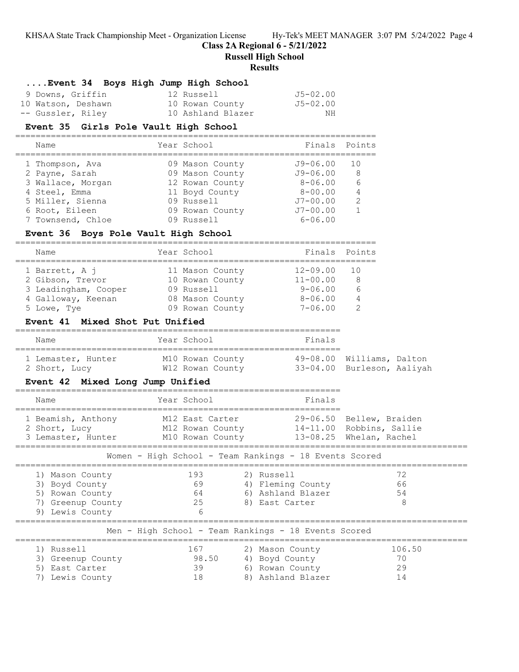**Class 2A Regional 6 - 5/21/2022**

**Russell High School**

#### **Results**

## **....Event 34 Boys High Jump High School**

| 9 Downs, Griffin   | 12 Russell        | J5-02.00 |
|--------------------|-------------------|----------|
| 10 Watson, Deshawn | 10 Rowan County   | J5-02.00 |
| -- Gussler, Riley  | 10 Ashland Blazer | ΝH       |

#### **Event 35 Girls Pole Vault High School**

=======================================================================

| Name              | Year School     | Finals       | Points        |
|-------------------|-----------------|--------------|---------------|
| 1 Thompson, Ava   | 09 Mason County | J9-06.00     | 10            |
| 2 Payne, Sarah    | 09 Mason County | $J9 - 06.00$ | 8             |
| 3 Wallace, Morgan | 12 Rowan County | $8 - 06.00$  |               |
| 4 Steel, Emma     | 11 Boyd County  | $8 - 00.00$  |               |
| 5 Miller, Sienna  | 09 Russell      | $J7 - 00.00$ | $\mathcal{L}$ |
| 6 Root, Eileen    | 09 Rowan County | $J7 - 00.00$ |               |
| 7 Townsend, Chloe | 09 Russell      | $6 - 06.00$  |               |
|                   |                 |              |               |

### **Event 36 Boys Pole Vault High School**

| Name                                                                                            | Year School                                                                            | Finals                                                                    | Points             |
|-------------------------------------------------------------------------------------------------|----------------------------------------------------------------------------------------|---------------------------------------------------------------------------|--------------------|
| 1 Barrett, A j<br>2 Gibson, Trevor<br>3 Leadingham, Cooper<br>4 Galloway, Keenan<br>5 Lowe, Tye | 11 Mason County<br>10 Rowan County<br>09 Russell<br>08 Mason County<br>09 Rowan County | $12 - 09.00$<br>$11 - 00.00$<br>$9 - 06.00$<br>$8 - 06.00$<br>$7 - 06.00$ | 1 N<br>8<br>Б<br>4 |

#### **Event 41 Mixed Shot Put Unified**

| Name                                | Year School                          | Finals |                                                         |
|-------------------------------------|--------------------------------------|--------|---------------------------------------------------------|
| 1 Lemaster, Hunter<br>2 Short, Lucy | M10 Rowan County<br>W12 Rowan County |        | 49-08.00 Williams, Dalton<br>33-04.00 Burleson, Aaliyah |

#### **Event 42 Mixed Long Jump Unified**

| Name                                                                                            | Year School                                                                                                                                                                                                                                          | Finals                                                                    |                                                                                 |  |
|-------------------------------------------------------------------------------------------------|------------------------------------------------------------------------------------------------------------------------------------------------------------------------------------------------------------------------------------------------------|---------------------------------------------------------------------------|---------------------------------------------------------------------------------|--|
| 1 Beamish, Anthony<br>2 Short, Lucy<br>3 Lemaster, Hunter                                       | M12 East Carter<br>M12 Rowan County<br>M10 Rowan County                                                                                                                                                                                              |                                                                           | 29-06.50 Bellew, Braiden<br>14-11.00 Robbins, Sallie<br>13-08.25 Whelan, Rachel |  |
| Women - High School - Team Rankings - 18 Events Scored                                          |                                                                                                                                                                                                                                                      |                                                                           |                                                                                 |  |
| 1) Mason County<br>3) Boyd County<br>Rowan County<br>5)<br>7) Greenup County<br>9) Lewis County | 193<br>69<br>64<br>25<br>6                                                                                                                                                                                                                           | 2) Russell<br>4) Fleming County<br>6) Ashland Blazer<br>8) East Carter    | 72<br>66<br>54<br>8                                                             |  |
| Men - High School - Team Rankings - 18 Events Scored                                            |                                                                                                                                                                                                                                                      |                                                                           |                                                                                 |  |
| 1) Russell<br>3) Greenup County<br>East Carter<br>.5)<br>Lewis County                           | 167 — 167 — 168 — 169 — 169 — 169 — 169 — 169 — 169 — 169 — 169 — 169 — 169 — 169 — 169 — 169 — 169 — 169 — 169 — 169 — 169 — 169 — 169 — 169 — 169 — 169 — 169 — 169 — 169 — 169 — 169 — 169 — 169 — 169 — 169 — 169 — 169 — 1<br>98.50<br>39<br>18 | 2) Mason County<br>4) Boyd County<br>6) Rowan County<br>8) Ashland Blazer | 106.50<br>70<br>29<br>14                                                        |  |